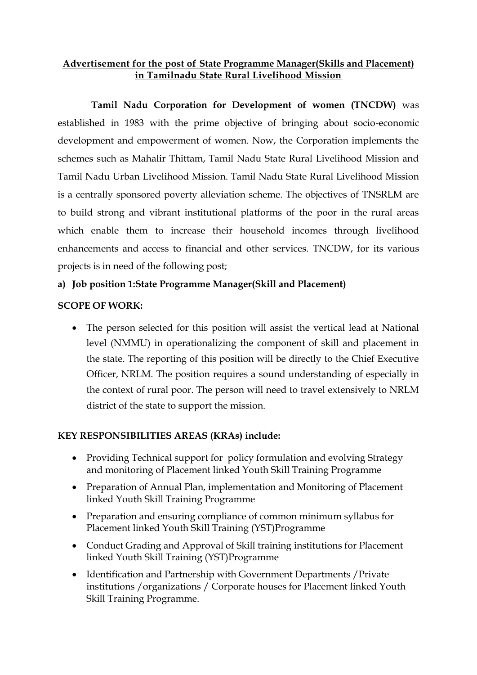## **Advertisement for the post of State Programme Manager(Skills and Placement) in Tamilnadu State Rural Livelihood Mission**

 **Tamil Nadu Corporation for Development of women (TNCDW)** was established in 1983 with the prime objective of bringing about socio-economic development and empowerment of women. Now, the Corporation implements the schemes such as Mahalir Thittam, Tamil Nadu State Rural Livelihood Mission and Tamil Nadu Urban Livelihood Mission. Tamil Nadu State Rural Livelihood Mission is a centrally sponsored poverty alleviation scheme. The objectives of TNSRLM are to build strong and vibrant institutional platforms of the poor in the rural areas which enable them to increase their household incomes through livelihood enhancements and access to financial and other services. TNCDW, for its various projects is in need of the following post;

# **a) Job position 1:State Programme Manager(Skill and Placement)**

#### **SCOPE OF WORK:**

 The person selected for this position will assist the vertical lead at National level (NMMU) in operationalizing the component of skill and placement in the state. The reporting of this position will be directly to the Chief Executive Officer, NRLM. The position requires a sound understanding of especially in the context of rural poor. The person will need to travel extensively to NRLM district of the state to support the mission.

## **KEY RESPONSIBILITIES AREAS (KRAs) include:**

- Providing Technical support for policy formulation and evolving Strategy and monitoring of Placement linked Youth Skill Training Programme
- Preparation of Annual Plan, implementation and Monitoring of Placement linked Youth Skill Training Programme
- Preparation and ensuring compliance of common minimum syllabus for Placement linked Youth Skill Training (YST)Programme
- Conduct Grading and Approval of Skill training institutions for Placement linked Youth Skill Training (YST)Programme
- Identification and Partnership with Government Departments /Private institutions /organizations / Corporate houses for Placement linked Youth Skill Training Programme.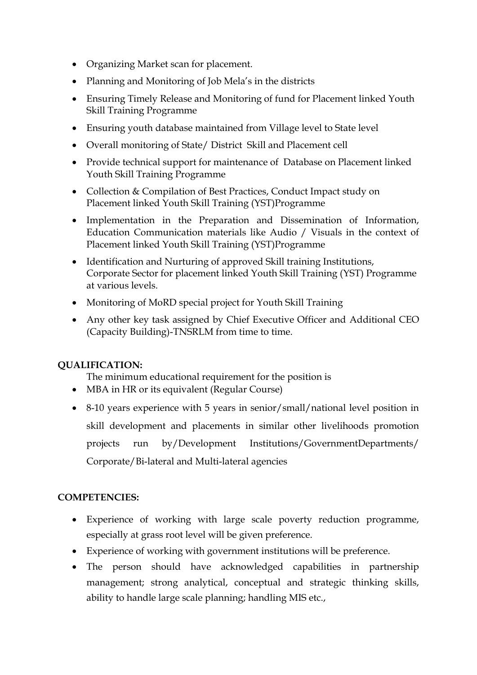- Organizing Market scan for placement.
- Planning and Monitoring of Job Mela's in the districts
- Ensuring Timely Release and Monitoring of fund for Placement linked Youth Skill Training Programme
- Ensuring youth database maintained from Village level to State level
- Overall monitoring of State/ District Skill and Placement cell
- Provide technical support for maintenance of Database on Placement linked Youth Skill Training Programme
- Collection & Compilation of Best Practices, Conduct Impact study on Placement linked Youth Skill Training (YST)Programme
- Implementation in the Preparation and Dissemination of Information, Education Communication materials like Audio / Visuals in the context of Placement linked Youth Skill Training (YST)Programme
- Identification and Nurturing of approved Skill training Institutions, Corporate Sector for placement linked Youth Skill Training (YST) Programme at various levels.
- Monitoring of MoRD special project for Youth Skill Training
- Any other key task assigned by Chief Executive Officer and Additional CEO (Capacity Building)-TNSRLM from time to time.

## **QUALIFICATION:**

The minimum educational requirement for the position is

- MBA in HR or its equivalent (Regular Course)
- 8-10 years experience with 5 years in senior/small/national level position in skill development and placements in similar other livelihoods promotion projects run by/Development Institutions/GovernmentDepartments/ Corporate/Bi-lateral and Multi-lateral agencies

## **COMPETENCIES:**

- Experience of working with large scale poverty reduction programme, especially at grass root level will be given preference.
- Experience of working with government institutions will be preference.
- The person should have acknowledged capabilities in partnership management; strong analytical, conceptual and strategic thinking skills, ability to handle large scale planning; handling MIS etc.,